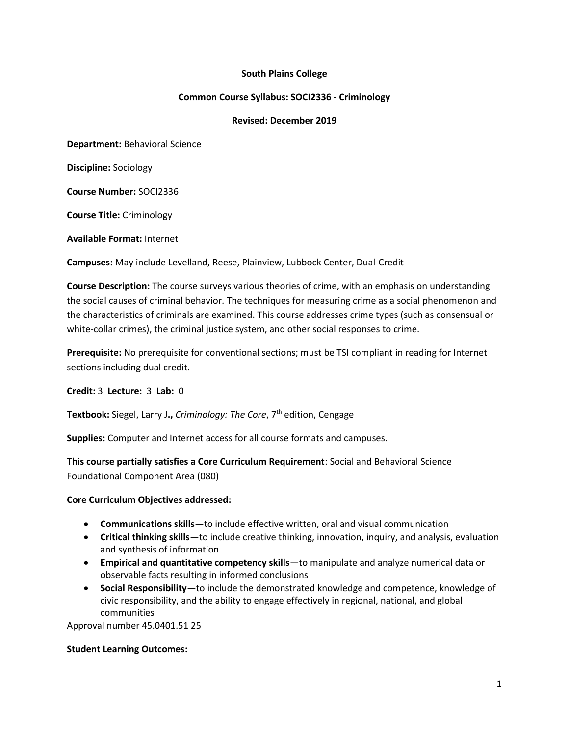#### **South Plains College**

#### **Common Course Syllabus: SOCI2336 - Criminology**

#### **Revised: December 2019**

**Department:** Behavioral Science

**Discipline:** Sociology

**Course Number:** SOCI2336

**Course Title:** Criminology

**Available Format:** Internet

**Campuses:** May include Levelland, Reese, Plainview, Lubbock Center, Dual-Credit

**Course Description:** The course surveys various theories of crime, with an emphasis on understanding the social causes of criminal behavior. The techniques for measuring crime as a social phenomenon and the characteristics of criminals are examined. This course addresses crime types (such as consensual or white-collar crimes), the criminal justice system, and other social responses to crime.

**Prerequisite:** No prerequisite for conventional sections; must be TSI compliant in reading for Internet sections including dual credit.

**Credit:** 3 **Lecture:** 3 **Lab:** 0

**Textbook:** Siegel, Larry J., *Criminology: The Core*, 7<sup>th</sup> edition, Cengage

**Supplies:** Computer and Internet access for all course formats and campuses.

**This course partially satisfies a Core Curriculum Requirement**: Social and Behavioral Science Foundational Component Area (080)

#### **Core Curriculum Objectives addressed:**

- **Communications skills**—to include effective written, oral and visual communication
- **Critical thinking skills**—to include creative thinking, innovation, inquiry, and analysis, evaluation and synthesis of information
- **Empirical and quantitative competency skills**—to manipulate and analyze numerical data or observable facts resulting in informed conclusions
- **Social Responsibility**—to include the demonstrated knowledge and competence, knowledge of civic responsibility, and the ability to engage effectively in regional, national, and global communities

Approval number 45.0401.51 25

#### **Student Learning Outcomes:**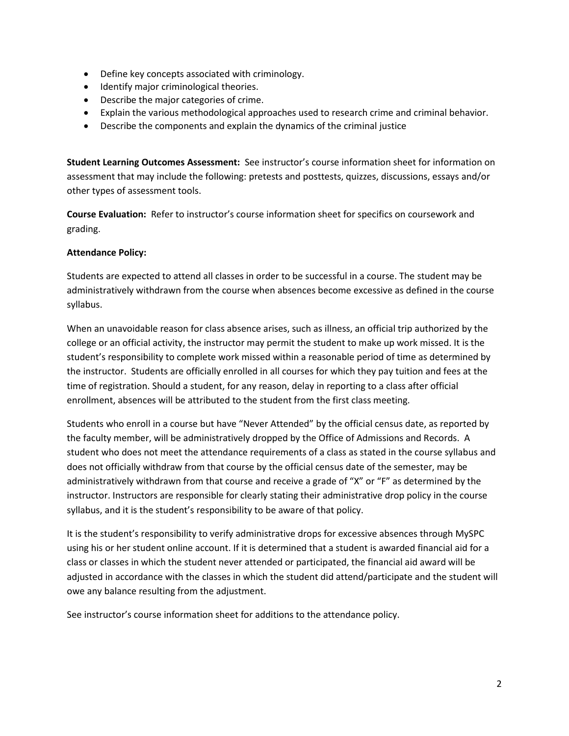- Define key concepts associated with criminology.
- Identify major criminological theories.
- Describe the major categories of crime.
- Explain the various methodological approaches used to research crime and criminal behavior.
- Describe the components and explain the dynamics of the criminal justice

**Student Learning Outcomes Assessment:** See instructor's course information sheet for information on assessment that may include the following: pretests and posttests, quizzes, discussions, essays and/or other types of assessment tools.

**Course Evaluation:** Refer to instructor's course information sheet for specifics on coursework and grading.

#### **Attendance Policy:**

Students are expected to attend all classes in order to be successful in a course. The student may be administratively withdrawn from the course when absences become excessive as defined in the course syllabus.

When an unavoidable reason for class absence arises, such as illness, an official trip authorized by the college or an official activity, the instructor may permit the student to make up work missed. It is the student's responsibility to complete work missed within a reasonable period of time as determined by the instructor. Students are officially enrolled in all courses for which they pay tuition and fees at the time of registration. Should a student, for any reason, delay in reporting to a class after official enrollment, absences will be attributed to the student from the first class meeting.

Students who enroll in a course but have "Never Attended" by the official census date, as reported by the faculty member, will be administratively dropped by the Office of Admissions and Records. A student who does not meet the attendance requirements of a class as stated in the course syllabus and does not officially withdraw from that course by the official census date of the semester, may be administratively withdrawn from that course and receive a grade of "X" or "F" as determined by the instructor. Instructors are responsible for clearly stating their administrative drop policy in the course syllabus, and it is the student's responsibility to be aware of that policy.

It is the student's responsibility to verify administrative drops for excessive absences through MySPC using his or her student online account. If it is determined that a student is awarded financial aid for a class or classes in which the student never attended or participated, the financial aid award will be adjusted in accordance with the classes in which the student did attend/participate and the student will owe any balance resulting from the adjustment.

See instructor's course information sheet for additions to the attendance policy.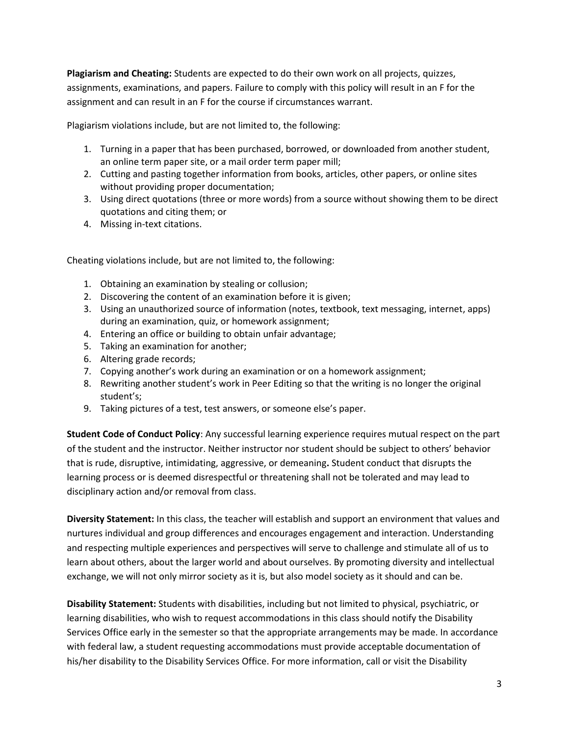**Plagiarism and Cheating:** Students are expected to do their own work on all projects, quizzes, assignments, examinations, and papers. Failure to comply with this policy will result in an F for the assignment and can result in an F for the course if circumstances warrant.

Plagiarism violations include, but are not limited to, the following:

- 1. Turning in a paper that has been purchased, borrowed, or downloaded from another student, an online term paper site, or a mail order term paper mill;
- 2. Cutting and pasting together information from books, articles, other papers, or online sites without providing proper documentation;
- 3. Using direct quotations (three or more words) from a source without showing them to be direct quotations and citing them; or
- 4. Missing in-text citations.

Cheating violations include, but are not limited to, the following:

- 1. Obtaining an examination by stealing or collusion;
- 2. Discovering the content of an examination before it is given;
- 3. Using an unauthorized source of information (notes, textbook, text messaging, internet, apps) during an examination, quiz, or homework assignment;
- 4. Entering an office or building to obtain unfair advantage;
- 5. Taking an examination for another;
- 6. Altering grade records;
- 7. Copying another's work during an examination or on a homework assignment;
- 8. Rewriting another student's work in Peer Editing so that the writing is no longer the original student's;
- 9. Taking pictures of a test, test answers, or someone else's paper.

**Student Code of Conduct Policy**: Any successful learning experience requires mutual respect on the part of the student and the instructor. Neither instructor nor student should be subject to others' behavior that is rude, disruptive, intimidating, aggressive, or demeaning**.** Student conduct that disrupts the learning process or is deemed disrespectful or threatening shall not be tolerated and may lead to disciplinary action and/or removal from class.

**Diversity Statement:** In this class, the teacher will establish and support an environment that values and nurtures individual and group differences and encourages engagement and interaction. Understanding and respecting multiple experiences and perspectives will serve to challenge and stimulate all of us to learn about others, about the larger world and about ourselves. By promoting diversity and intellectual exchange, we will not only mirror society as it is, but also model society as it should and can be.

**Disability Statement:** Students with disabilities, including but not limited to physical, psychiatric, or learning disabilities, who wish to request accommodations in this class should notify the Disability Services Office early in the semester so that the appropriate arrangements may be made. In accordance with federal law, a student requesting accommodations must provide acceptable documentation of his/her disability to the Disability Services Office. For more information, call or visit the Disability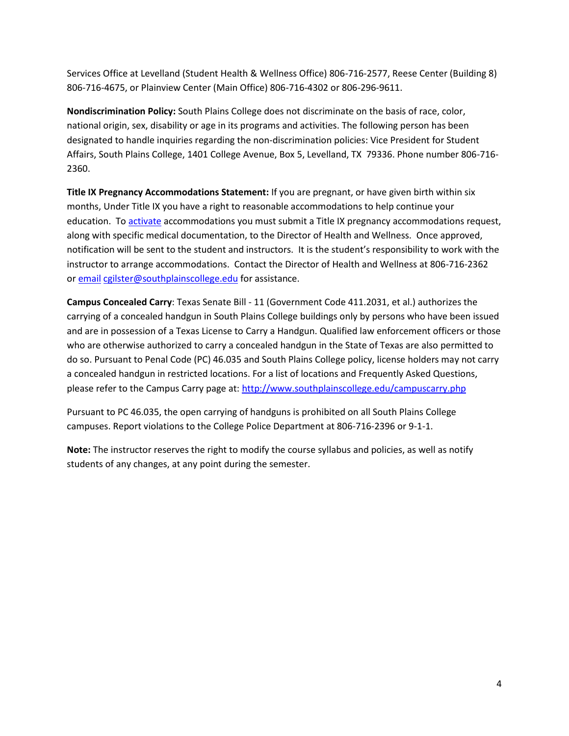Services Office at Levelland (Student Health & Wellness Office) 806-716-2577, Reese Center (Building 8) 806-716-4675, or Plainview Center (Main Office) 806-716-4302 or 806-296-9611.

**Nondiscrimination Policy:** South Plains College does not discriminate on the basis of race, color, national origin, sex, disability or age in its programs and activities. The following person has been designated to handle inquiries regarding the non-discrimination policies: Vice President for Student Affairs, South Plains College, 1401 College Avenue, Box 5, Levelland, TX 79336. Phone number 806-716- 2360.

**Title IX Pregnancy Accommodations Statement:** If you are pregnant, or have given birth within six months, Under Title IX you have a right to reasonable accommodations to help continue your education. To [activate](http://www.southplainscollege.edu/employees/manualshandbooks/facultyhandbook/sec4.php) accommodations you must submit a Title IX pregnancy accommodations request, along with specific medical documentation, to the Director of Health and Wellness. Once approved, notification will be sent to the student and instructors. It is the student's responsibility to work with the instructor to arrange accommodations. Contact the Director of Health and Wellness at 806-716-2362 or [email](http://www.southplainscollege.edu/employees/manualshandbooks/facultyhandbook/sec4.php) [cgilster@southplainscollege.edu](mailto:cgilster@southplainscollege.edu) for assistance.

**Campus Concealed Carry**: Texas Senate Bill - 11 (Government Code 411.2031, et al.) authorizes the carrying of a concealed handgun in South Plains College buildings only by persons who have been issued and are in possession of a Texas License to Carry a Handgun. Qualified law enforcement officers or those who are otherwise authorized to carry a concealed handgun in the State of Texas are also permitted to do so. Pursuant to Penal Code (PC) 46.035 and South Plains College policy, license holders may not carry a concealed handgun in restricted locations. For a list of locations and Frequently Asked Questions, please refer to the Campus Carry page at: <http://www.southplainscollege.edu/campuscarry.php>

Pursuant to PC 46.035, the open carrying of handguns is prohibited on all South Plains College campuses. Report violations to the College Police Department at 806-716-2396 or 9-1-1.

**Note:** The instructor reserves the right to modify the course syllabus and policies, as well as notify students of any changes, at any point during the semester.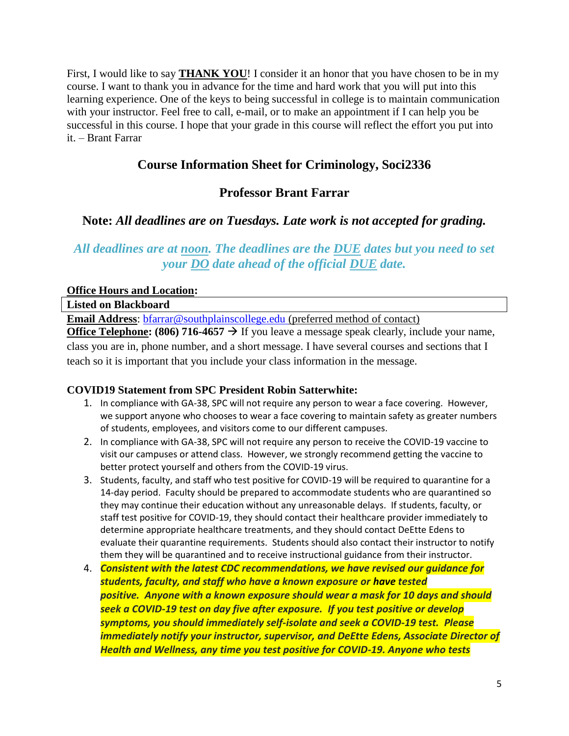First, I would like to say **THANK YOU**! I consider it an honor that you have chosen to be in my course. I want to thank you in advance for the time and hard work that you will put into this learning experience. One of the keys to being successful in college is to maintain communication with your instructor. Feel free to call, e-mail, or to make an appointment if I can help you be successful in this course. I hope that your grade in this course will reflect the effort you put into it. – Brant Farrar

# **Course Information Sheet for Criminology, Soci2336**

# **Professor Brant Farrar**

# **Note:** *All deadlines are on Tuesdays. Late work is not accepted for grading.*

# *All deadlines are at noon. The deadlines are the DUE dates but you need to set your DO date ahead of the official DUE date.*

#### **Office Hours and Location:**

**Listed on Blackboard**

**Email Address**: [bfarrar@southplainscollege.edu](mailto:bfarrar@southplainscollege.edu) (preferred method of contact)

**Office Telephone: (806) 716-4657**  $\rightarrow$  If you leave a message speak clearly, include your name, class you are in, phone number, and a short message. I have several courses and sections that I teach so it is important that you include your class information in the message.

#### **COVID19 Statement from SPC President Robin Satterwhite:**

- 1. In compliance with GA-38, SPC will not require any person to wear a face covering. However, we support anyone who chooses to wear a face covering to maintain safety as greater numbers of students, employees, and visitors come to our different campuses.
- 2. In compliance with GA-38, SPC will not require any person to receive the COVID-19 vaccine to visit our campuses or attend class. However, we strongly recommend getting the vaccine to better protect yourself and others from the COVID-19 virus.
- 3. Students, faculty, and staff who test positive for COVID-19 will be required to quarantine for a 14-day period. Faculty should be prepared to accommodate students who are quarantined so they may continue their education without any unreasonable delays. If students, faculty, or staff test positive for COVID-19, they should contact their healthcare provider immediately to determine appropriate healthcare treatments, and they should contact DeEtte Edens to evaluate their quarantine requirements. Students should also contact their instructor to notify them they will be quarantined and to receive instructional guidance from their instructor.
- 4. *Consistent with the latest CDC recommendations, we have revised our guidance for students, faculty, and staff who have a known exposure or have tested positive. Anyone with a known exposure should wear a mask for 10 days and should seek a COVID-19 test on day five after exposure. If you test positive or develop symptoms, you should immediately self-isolate and seek a COVID-19 test. Please immediately notify your instructor, supervisor, and DeEtte Edens, Associate Director of Health and Wellness, any time you test positive for COVID-19. Anyone who tests*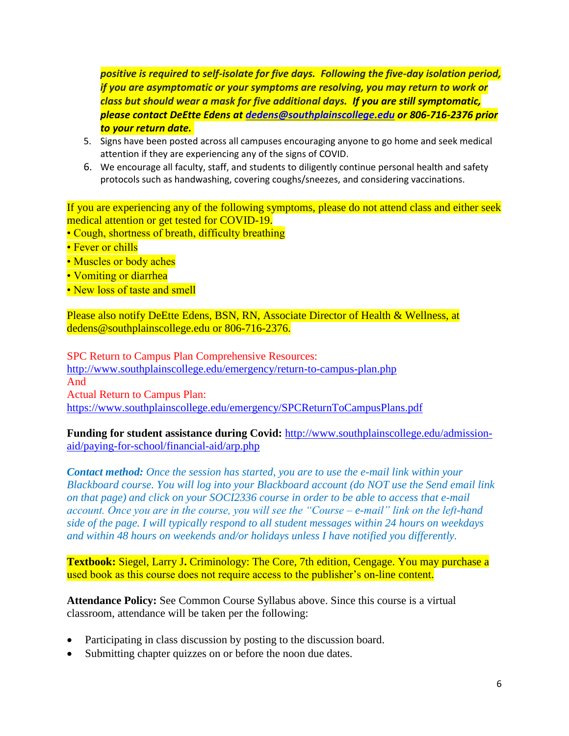*positive is required to self-isolate for five days. Following the five-day isolation period, if you are asymptomatic or your symptoms are resolving, you may return to work or class but should wear a mask for five additional days. If you are still symptomatic, please contact DeEtte Edens at [dedens@southplainscollege.edu](mailto:dedens@southplainscollege.edu) or 806-716-2376 prior to your return date.*

- 5. Signs have been posted across all campuses encouraging anyone to go home and seek medical attention if they are experiencing any of the signs of COVID.
- 6. We encourage all faculty, staff, and students to diligently continue personal health and safety protocols such as handwashing, covering coughs/sneezes, and considering vaccinations.

If you are experiencing any of the following symptoms, please do not attend class and either seek medical attention or get tested for COVID-19.

- Cough, shortness of breath, difficulty breathing
- Fever or chills
- Muscles or body aches
- Vomiting or diarrhea
- New loss of taste and smell

Please also notify DeEtte Edens, BSN, RN, Associate Director of Health & Wellness, at dedens@southplainscollege.edu or 806-716-2376.

SPC Return to Campus Plan Comprehensive Resources: <http://www.southplainscollege.edu/emergency/return-to-campus-plan.php> And Actual Return to Campus Plan: <https://www.southplainscollege.edu/emergency/SPCReturnToCampusPlans.pdf>

**Funding for student assistance during Covid:** [http://www.southplainscollege.edu/admission](http://www.southplainscollege.edu/admission-aid/paying-for-school/financial-aid/arp.php)[aid/paying-for-school/financial-aid/arp.php](http://www.southplainscollege.edu/admission-aid/paying-for-school/financial-aid/arp.php)

*Contact method: Once the session has started, you are to use the e-mail link within your Blackboard course. You will log into your Blackboard account (do NOT use the Send email link on that page) and click on your SOCI2336 course in order to be able to access that e-mail account. Once you are in the course, you will see the "Course – e-mail" link on the left-hand side of the page. I will typically respond to all student messages within 24 hours on weekdays and within 48 hours on weekends and/or holidays unless I have notified you differently.*

**Textbook:** Siegel, Larry J**.** Criminology: The Core, 7th edition, Cengage. You may purchase a used book as this course does not require access to the publisher's on-line content.

**Attendance Policy:** See Common Course Syllabus above. Since this course is a virtual classroom, attendance will be taken per the following:

- Participating in class discussion by posting to the discussion board.
- Submitting chapter quizzes on or before the noon due dates.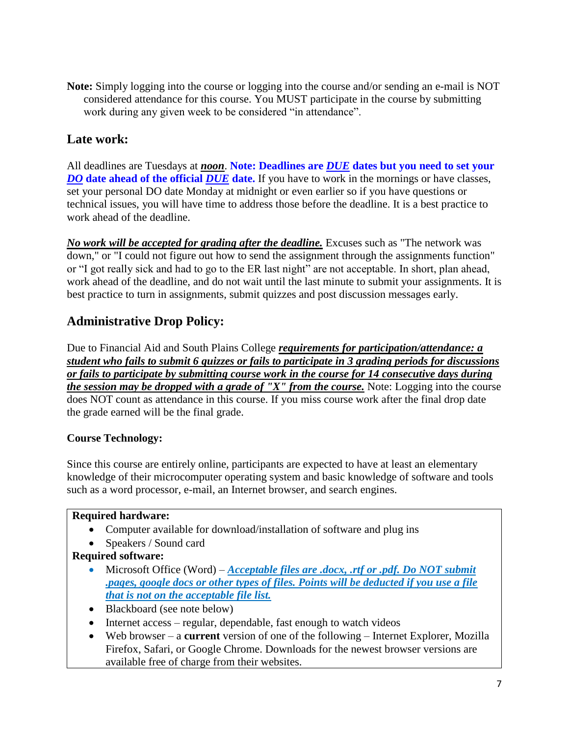**Note:** Simply logging into the course or logging into the course and/or sending an e-mail is NOT considered attendance for this course. You MUST participate in the course by submitting work during any given week to be considered "in attendance".

# **Late work:**

All deadlines are Tuesdays at *noon*. **Note: Deadlines are** *DUE* **dates but you need to set your**  *DO* date ahead of the official *DUE* date. If you have to work in the mornings or have classes, set your personal DO date Monday at midnight or even earlier so if you have questions or technical issues, you will have time to address those before the deadline. It is a best practice to work ahead of the deadline.

*No work will be accepted for grading after the deadline.* Excuses such as "The network was down," or "I could not figure out how to send the assignment through the assignments function" or "I got really sick and had to go to the ER last night" are not acceptable. In short, plan ahead, work ahead of the deadline, and do not wait until the last minute to submit your assignments. It is best practice to turn in assignments, submit quizzes and post discussion messages early.

# **Administrative Drop Policy:**

Due to Financial Aid and South Plains College *requirements for participation/attendance: a student who fails to submit 6 quizzes or fails to participate in 3 grading periods for discussions or fails to participate by submitting course work in the course for 14 consecutive days during the session may be dropped with a grade of "X" from the course.* Note: Logging into the course does NOT count as attendance in this course. If you miss course work after the final drop date the grade earned will be the final grade.

### **Course Technology:**

Since this course are entirely online, participants are expected to have at least an elementary knowledge of their microcomputer operating system and basic knowledge of software and tools such as a word processor, e-mail, an Internet browser, and search engines.

#### **Required hardware:**

- Computer available for download/installation of software and plug ins
- Speakers / Sound card

### **Required software:**

- Microsoft Office (Word) *Acceptable files are .docx, .rtf or .pdf. Do NOT submit .pages, google docs or other types of files. Points will be deducted if you use a file that is not on the acceptable file list.*
- Blackboard (see note below)
- Internet access regular, dependable, fast enough to watch videos
- Web browser a **current** version of one of the following Internet Explorer, Mozilla Firefox, Safari, or Google Chrome. Downloads for the newest browser versions are available free of charge from their websites.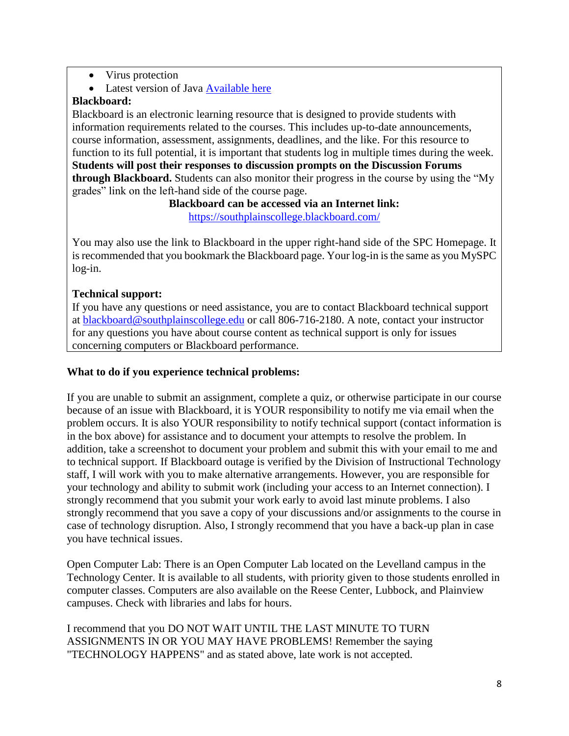- Virus protection
- Latest version of Java [Available here](http://www.java.com/en/)

### **Blackboard:**

Blackboard is an electronic learning resource that is designed to provide students with information requirements related to the courses. This includes up-to-date announcements, course information, assessment, assignments, deadlines, and the like. For this resource to function to its full potential, it is important that students log in multiple times during the week. **Students will post their responses to discussion prompts on the Discussion Forums through Blackboard.** Students can also monitor their progress in the course by using the "My grades" link on the left-hand side of the course page.

> **Blackboard can be accessed via an Internet link:** <https://southplainscollege.blackboard.com/>

You may also use the link to Blackboard in the upper right-hand side of the SPC Homepage. It is recommended that you bookmark the Blackboard page. Your log-in is the same as you MySPC log-in.

### **Technical support:**

If you have any questions or need assistance, you are to contact Blackboard technical support at [blackboard@southplainscollege.edu](mailto:blackboard@southplainscollege.edu) or call 806-716-2180. A note, contact your instructor for any questions you have about course content as technical support is only for issues concerning computers or Blackboard performance.

#### **What to do if you experience technical problems:**

If you are unable to submit an assignment, complete a quiz, or otherwise participate in our course because of an issue with Blackboard, it is YOUR responsibility to notify me via email when the problem occurs. It is also YOUR responsibility to notify technical support (contact information is in the box above) for assistance and to document your attempts to resolve the problem. In addition, take a screenshot to document your problem and submit this with your email to me and to technical support. If Blackboard outage is verified by the Division of Instructional Technology staff, I will work with you to make alternative arrangements. However, you are responsible for your technology and ability to submit work (including your access to an Internet connection). I strongly recommend that you submit your work early to avoid last minute problems. I also strongly recommend that you save a copy of your discussions and/or assignments to the course in case of technology disruption. Also, I strongly recommend that you have a back-up plan in case you have technical issues.

Open Computer Lab: There is an Open Computer Lab located on the Levelland campus in the Technology Center. It is available to all students, with priority given to those students enrolled in computer classes. Computers are also available on the Reese Center, Lubbock, and Plainview campuses. Check with libraries and labs for hours.

I recommend that you DO NOT WAIT UNTIL THE LAST MINUTE TO TURN ASSIGNMENTS IN OR YOU MAY HAVE PROBLEMS! Remember the saying "TECHNOLOGY HAPPENS" and as stated above, late work is not accepted.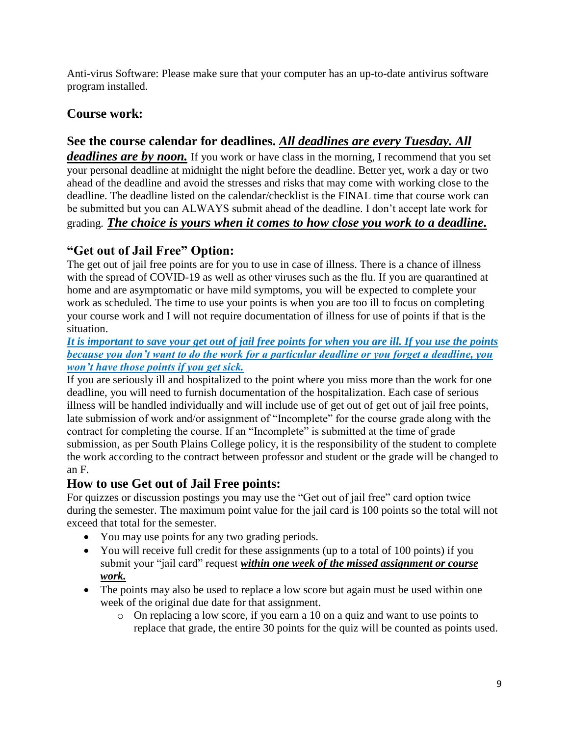Anti-virus Software: Please make sure that your computer has an up-to-date antivirus software program installed.

# **Course work:**

# **See the course calendar for deadlines.** *All deadlines are every Tuesday. All*

*deadlines are by noon.* If you work or have class in the morning, I recommend that you set your personal deadline at midnight the night before the deadline. Better yet, work a day or two ahead of the deadline and avoid the stresses and risks that may come with working close to the deadline. The deadline listed on the calendar/checklist is the FINAL time that course work can be submitted but you can ALWAYS submit ahead of the deadline. I don't accept late work for grading. *The choice is yours when it comes to how close you work to a deadline.*

# **"Get out of Jail Free" Option:**

The get out of jail free points are for you to use in case of illness. There is a chance of illness with the spread of COVID-19 as well as other viruses such as the flu. If you are quarantined at home and are asymptomatic or have mild symptoms, you will be expected to complete your work as scheduled. The time to use your points is when you are too ill to focus on completing your course work and I will not require documentation of illness for use of points if that is the situation.

*It is important to save your get out of jail free points for when you are ill. If you use the points because you don't want to do the work for a particular deadline or you forget a deadline, you won't have those points if you get sick.* 

If you are seriously ill and hospitalized to the point where you miss more than the work for one deadline, you will need to furnish documentation of the hospitalization. Each case of serious illness will be handled individually and will include use of get out of get out of jail free points, late submission of work and/or assignment of "Incomplete" for the course grade along with the contract for completing the course. If an "Incomplete" is submitted at the time of grade submission, as per South Plains College policy, it is the responsibility of the student to complete the work according to the contract between professor and student or the grade will be changed to an F.

# **How to use Get out of Jail Free points:**

For quizzes or discussion postings you may use the "Get out of jail free" card option twice during the semester. The maximum point value for the jail card is 100 points so the total will not exceed that total for the semester.

- You may use points for any two grading periods.
- You will receive full credit for these assignments (up to a total of 100 points) if you submit your "jail card" request *within one week of the missed assignment or course work.*
- The points may also be used to replace a low score but again must be used within one week of the original due date for that assignment.
	- o On replacing a low score, if you earn a 10 on a quiz and want to use points to replace that grade, the entire 30 points for the quiz will be counted as points used.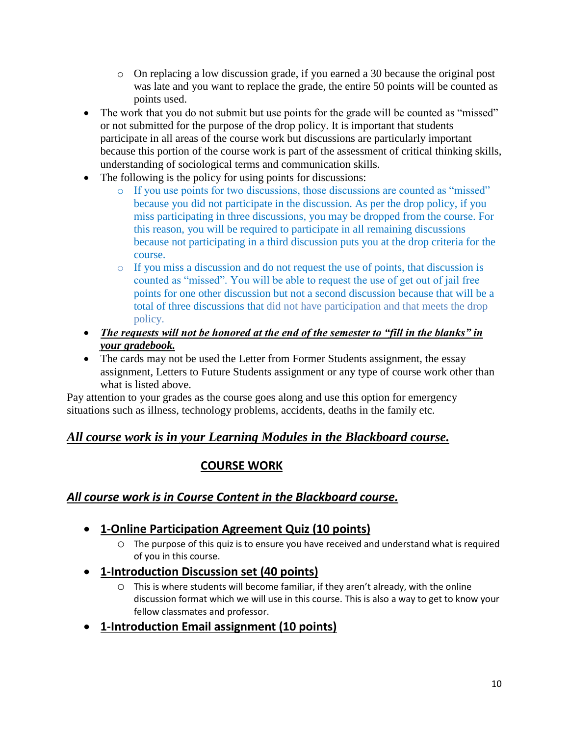- o On replacing a low discussion grade, if you earned a 30 because the original post was late and you want to replace the grade, the entire 50 points will be counted as points used.
- The work that you do not submit but use points for the grade will be counted as "missed" or not submitted for the purpose of the drop policy. It is important that students participate in all areas of the course work but discussions are particularly important because this portion of the course work is part of the assessment of critical thinking skills, understanding of sociological terms and communication skills.
- The following is the policy for using points for discussions:
	- o If you use points for two discussions, those discussions are counted as "missed" because you did not participate in the discussion. As per the drop policy, if you miss participating in three discussions, you may be dropped from the course. For this reason, you will be required to participate in all remaining discussions because not participating in a third discussion puts you at the drop criteria for the course.
	- o If you miss a discussion and do not request the use of points, that discussion is counted as "missed". You will be able to request the use of get out of jail free points for one other discussion but not a second discussion because that will be a total of three discussions that did not have participation and that meets the drop policy.
- *The requests will not be honored at the end of the semester to "fill in the blanks" in your gradebook.*
- The cards may not be used the Letter from Former Students assignment, the essay assignment, Letters to Future Students assignment or any type of course work other than what is listed above.

Pay attention to your grades as the course goes along and use this option for emergency situations such as illness, technology problems, accidents, deaths in the family etc.

# *All course work is in your Learning Modules in the Blackboard course.*

# **COURSE WORK**

# *All course work is in Course Content in the Blackboard course.*

- **1-Online Participation Agreement Quiz (10 points)**
	- $\circ$  The purpose of this quiz is to ensure you have received and understand what is required of you in this course.
- **1-Introduction Discussion set (40 points)**
	- o This is where students will become familiar, if they aren't already, with the online discussion format which we will use in this course. This is also a way to get to know your fellow classmates and professor.
- **1-Introduction Email assignment (10 points)**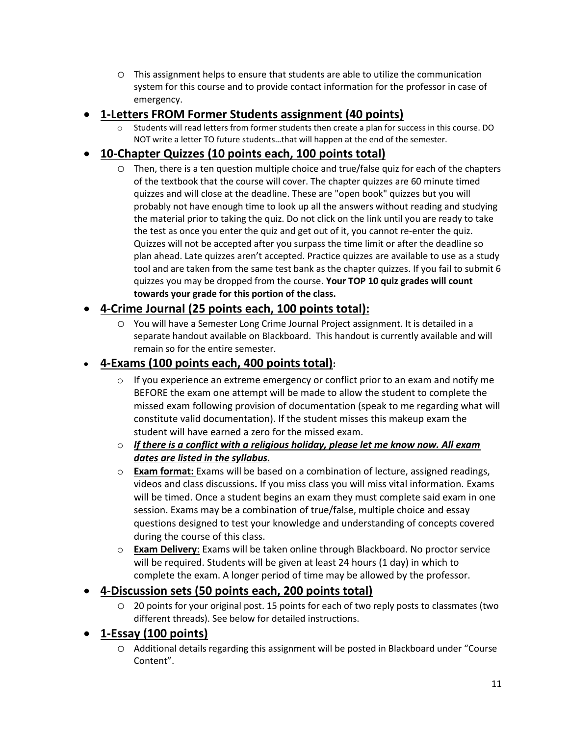o This assignment helps to ensure that students are able to utilize the communication system for this course and to provide contact information for the professor in case of emergency.

## • **1-Letters FROM Former Students assignment (40 points)**

Students will read letters from former students then create a plan for success in this course. DO NOT write a letter TO future students…that will happen at the end of the semester.

## • **10-Chapter Quizzes (10 points each, 100 points total)**

o Then, there is a ten question multiple choice and true/false quiz for each of the chapters of the textbook that the course will cover. The chapter quizzes are 60 minute timed quizzes and will close at the deadline. These are "open book" quizzes but you will probably not have enough time to look up all the answers without reading and studying the material prior to taking the quiz. Do not click on the link until you are ready to take the test as once you enter the quiz and get out of it, you cannot re-enter the quiz. Quizzes will not be accepted after you surpass the time limit or after the deadline so plan ahead. Late quizzes aren't accepted. Practice quizzes are available to use as a study tool and are taken from the same test bank as the chapter quizzes. If you fail to submit 6 quizzes you may be dropped from the course. **Your TOP 10 quiz grades will count towards your grade for this portion of the class.**

## • **4-Crime Journal (25 points each, 100 points total):**

o You will have a Semester Long Crime Journal Project assignment. It is detailed in a separate handout available on Blackboard. This handout is currently available and will remain so for the entire semester.

### • **4-Exams (100 points each, 400 points total):**

- $\circ$  If you experience an extreme emergency or conflict prior to an exam and notify me BEFORE the exam one attempt will be made to allow the student to complete the missed exam following provision of documentation (speak to me regarding what will constitute valid documentation). If the student misses this makeup exam the student will have earned a zero for the missed exam.
- o *If there is a conflict with a religious holiday, please let me know now. All exam dates are listed in the syllabus.*
- o **Exam format:** Exams will be based on a combination of lecture, assigned readings, videos and class discussions**.** If you miss class you will miss vital information. Exams will be timed. Once a student begins an exam they must complete said exam in one session. Exams may be a combination of true/false, multiple choice and essay questions designed to test your knowledge and understanding of concepts covered during the course of this class.
- o **Exam Delivery**: Exams will be taken online through Blackboard. No proctor service will be required. Students will be given at least 24 hours (1 day) in which to complete the exam. A longer period of time may be allowed by the professor.

### • **4-Discussion sets (50 points each, 200 points total)**

o 20 points for your original post. 15 points for each of two reply posts to classmates (two different threads). See below for detailed instructions.

## • **1-Essay (100 points)**

o Additional details regarding this assignment will be posted in Blackboard under "Course Content".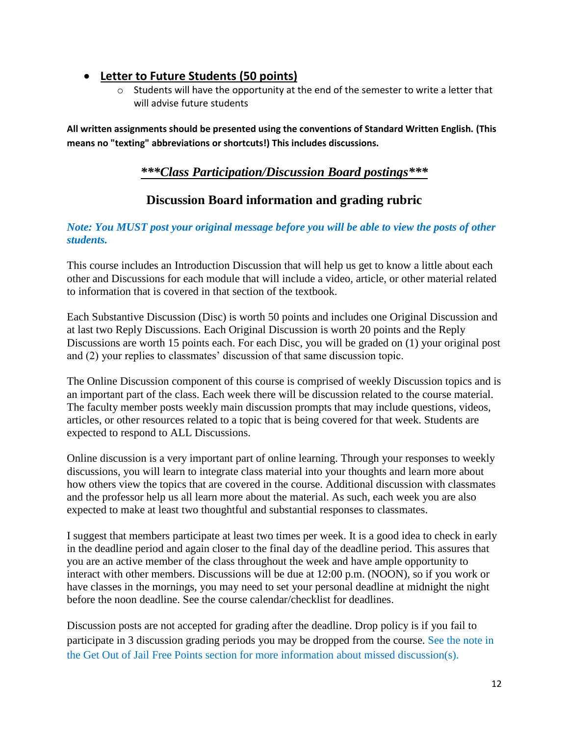## • **Letter to Future Students (50 points)**

 $\circ$  Students will have the opportunity at the end of the semester to write a letter that will advise future students

**All written assignments should be presented using the conventions of Standard Written English. (This means no "texting" abbreviations or shortcuts!) This includes discussions.**

## *\*\*\*Class Participation/Discussion Board postings\*\*\**

# **Discussion Board information and grading rubric**

### *Note: You MUST post your original message before you will be able to view the posts of other students.*

This course includes an Introduction Discussion that will help us get to know a little about each other and Discussions for each module that will include a video, article, or other material related to information that is covered in that section of the textbook.

Each Substantive Discussion (Disc) is worth 50 points and includes one Original Discussion and at last two Reply Discussions. Each Original Discussion is worth 20 points and the Reply Discussions are worth 15 points each. For each Disc, you will be graded on (1) your original post and (2) your replies to classmates' discussion of that same discussion topic.

The Online Discussion component of this course is comprised of weekly Discussion topics and is an important part of the class. Each week there will be discussion related to the course material. The faculty member posts weekly main discussion prompts that may include questions, videos, articles, or other resources related to a topic that is being covered for that week. Students are expected to respond to ALL Discussions.

Online discussion is a very important part of online learning. Through your responses to weekly discussions, you will learn to integrate class material into your thoughts and learn more about how others view the topics that are covered in the course. Additional discussion with classmates and the professor help us all learn more about the material. As such, each week you are also expected to make at least two thoughtful and substantial responses to classmates.

I suggest that members participate at least two times per week. It is a good idea to check in early in the deadline period and again closer to the final day of the deadline period. This assures that you are an active member of the class throughout the week and have ample opportunity to interact with other members. Discussions will be due at 12:00 p.m. (NOON), so if you work or have classes in the mornings, you may need to set your personal deadline at midnight the night before the noon deadline. See the course calendar/checklist for deadlines.

Discussion posts are not accepted for grading after the deadline. Drop policy is if you fail to participate in 3 discussion grading periods you may be dropped from the course. See the note in the Get Out of Jail Free Points section for more information about missed discussion(s).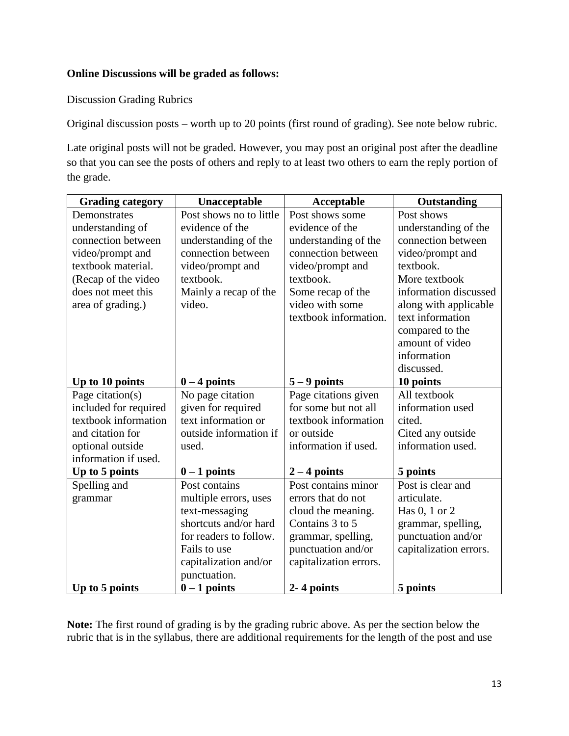#### **Online Discussions will be graded as follows:**

Discussion Grading Rubrics

Original discussion posts – worth up to 20 points (first round of grading). See note below rubric.

Late original posts will not be graded. However, you may post an original post after the deadline so that you can see the posts of others and reply to at least two others to earn the reply portion of the grade.

| <b>Grading category</b> | Unacceptable            | Acceptable             | <b>Outstanding</b>     |
|-------------------------|-------------------------|------------------------|------------------------|
| Demonstrates            | Post shows no to little | Post shows some        | Post shows             |
| understanding of        | evidence of the         | evidence of the        | understanding of the   |
| connection between      | understanding of the    | understanding of the   | connection between     |
| video/prompt and        | connection between      | connection between     | video/prompt and       |
| textbook material.      | video/prompt and        | video/prompt and       | textbook.              |
| (Recap of the video     | textbook.               | textbook.              | More textbook          |
| does not meet this      | Mainly a recap of the   | Some recap of the      | information discussed  |
| area of grading.)       | video.                  | video with some        | along with applicable  |
|                         |                         | textbook information.  | text information       |
|                         |                         |                        | compared to the        |
|                         |                         |                        | amount of video        |
|                         |                         |                        | information            |
|                         |                         |                        | discussed.             |
| Up to 10 points         | $0 - 4$ points          | $5 - 9$ points         | 10 points              |
| Page citation(s)        | No page citation        | Page citations given   | All textbook           |
| included for required   | given for required      | for some but not all   | information used       |
| textbook information    | text information or     | textbook information   | cited.                 |
| and citation for        | outside information if  | or outside             | Cited any outside      |
| optional outside        | used.                   | information if used.   | information used.      |
| information if used.    |                         |                        |                        |
| Up to 5 points          | $0 - 1$ points          | $2 - 4$ points         | 5 points               |
| Spelling and            | Post contains           | Post contains minor    | Post is clear and      |
| grammar                 | multiple errors, uses   | errors that do not     | articulate.            |
|                         | text-messaging          | cloud the meaning.     | Has 0, 1 or 2          |
|                         | shortcuts and/or hard   | Contains 3 to 5        | grammar, spelling,     |
|                         | for readers to follow.  | grammar, spelling,     | punctuation and/or     |
|                         | Fails to use            | punctuation and/or     | capitalization errors. |
|                         | capitalization and/or   | capitalization errors. |                        |
|                         | punctuation.            |                        |                        |
| Up to 5 points          | $0 - 1$ points          | 2-4 points             | 5 points               |

**Note:** The first round of grading is by the grading rubric above. As per the section below the rubric that is in the syllabus, there are additional requirements for the length of the post and use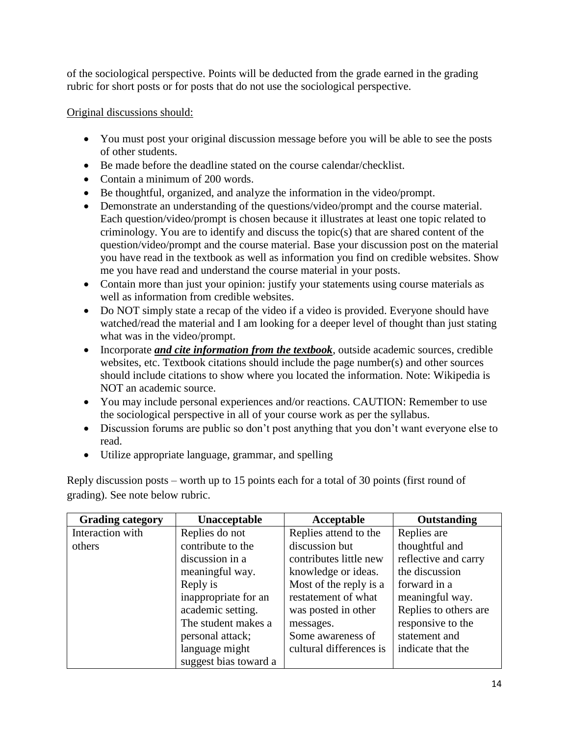of the sociological perspective. Points will be deducted from the grade earned in the grading rubric for short posts or for posts that do not use the sociological perspective.

Original discussions should:

- You must post your original discussion message before you will be able to see the posts of other students.
- Be made before the deadline stated on the course calendar/checklist.
- Contain a minimum of 200 words.
- Be thoughtful, organized, and analyze the information in the video/prompt.
- Demonstrate an understanding of the questions/video/prompt and the course material. Each question/video/prompt is chosen because it illustrates at least one topic related to criminology. You are to identify and discuss the topic(s) that are shared content of the question/video/prompt and the course material. Base your discussion post on the material you have read in the textbook as well as information you find on credible websites. Show me you have read and understand the course material in your posts.
- Contain more than just your opinion: justify your statements using course materials as well as information from credible websites.
- Do NOT simply state a recap of the video if a video is provided. Everyone should have watched/read the material and I am looking for a deeper level of thought than just stating what was in the video/prompt.
- Incorporate *and cite information from the textbook*, outside academic sources, credible websites, etc. Textbook citations should include the page number(s) and other sources should include citations to show where you located the information. Note: Wikipedia is NOT an academic source.
- You may include personal experiences and/or reactions. CAUTION: Remember to use the sociological perspective in all of your course work as per the syllabus.
- Discussion forums are public so don't post anything that you don't want everyone else to read.
- Utilize appropriate language, grammar, and spelling

| <b>Grading category</b> | Unacceptable          | Acceptable              | Outstanding           |
|-------------------------|-----------------------|-------------------------|-----------------------|
| Interaction with        | Replies do not        | Replies attend to the   | Replies are           |
| others                  | contribute to the     | discussion but          | thoughtful and        |
|                         | discussion in a       | contributes little new  | reflective and carry  |
|                         | meaningful way.       | knowledge or ideas.     | the discussion        |
|                         | Reply is              | Most of the reply is a  | forward in a          |
|                         | inappropriate for an  | restatement of what     | meaningful way.       |
|                         | academic setting.     | was posted in other     | Replies to others are |
|                         | The student makes a   | messages.               | responsive to the     |
|                         | personal attack;      | Some awareness of       | statement and         |
|                         | language might        | cultural differences is | indicate that the     |
|                         | suggest bias toward a |                         |                       |

Reply discussion posts – worth up to 15 points each for a total of 30 points (first round of grading). See note below rubric.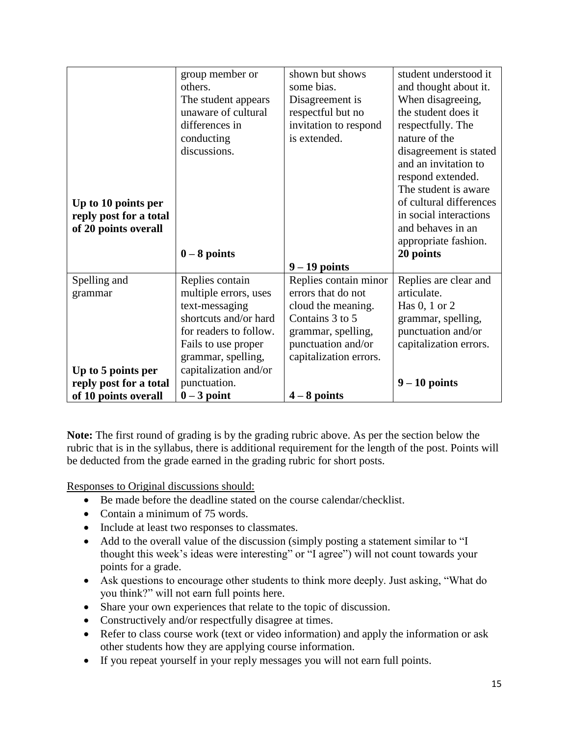|                        | group member or        | shown but shows        | student understood it   |
|------------------------|------------------------|------------------------|-------------------------|
|                        | others.                | some bias.             | and thought about it.   |
|                        | The student appears    | Disagreement is        | When disagreeing,       |
|                        | unaware of cultural    | respectful but no      | the student does it     |
|                        | differences in         | invitation to respond  | respectfully. The       |
|                        | conducting             | is extended.           | nature of the           |
|                        | discussions.           |                        | disagreement is stated  |
|                        |                        |                        | and an invitation to    |
|                        |                        |                        | respond extended.       |
|                        |                        |                        | The student is aware    |
| Up to 10 points per    |                        |                        | of cultural differences |
| reply post for a total |                        |                        | in social interactions  |
| of 20 points overall   |                        |                        | and behaves in an       |
|                        |                        |                        | appropriate fashion.    |
|                        | $0 - 8$ points         |                        | 20 points               |
|                        |                        | $9 - 19$ points        |                         |
| Spelling and           | Replies contain        | Replies contain minor  | Replies are clear and   |
| grammar                | multiple errors, uses  | errors that do not     | articulate.             |
|                        | text-messaging         | cloud the meaning.     | Has $0, 1$ or $2$       |
|                        | shortcuts and/or hard  | Contains 3 to 5        | grammar, spelling,      |
|                        | for readers to follow. | grammar, spelling,     | punctuation and/or      |
|                        | Fails to use proper    | punctuation and/or     | capitalization errors.  |
|                        | grammar, spelling,     | capitalization errors. |                         |
| Up to 5 points per     | capitalization and/or  |                        |                         |
| reply post for a total | punctuation.           |                        | $9 - 10$ points         |
| of 10 points overall   | $0 - 3$ point          | $4 - 8$ points         |                         |

**Note:** The first round of grading is by the grading rubric above. As per the section below the rubric that is in the syllabus, there is additional requirement for the length of the post. Points will be deducted from the grade earned in the grading rubric for short posts.

Responses to Original discussions should:

- Be made before the deadline stated on the course calendar/checklist.
- Contain a minimum of 75 words.
- Include at least two responses to classmates.
- Add to the overall value of the discussion (simply posting a statement similar to "I thought this week's ideas were interesting" or "I agree") will not count towards your points for a grade.
- Ask questions to encourage other students to think more deeply. Just asking, "What do you think?" will not earn full points here.
- Share your own experiences that relate to the topic of discussion.
- Constructively and/or respectfully disagree at times.
- Refer to class course work (text or video information) and apply the information or ask other students how they are applying course information.
- If you repeat yourself in your reply messages you will not earn full points.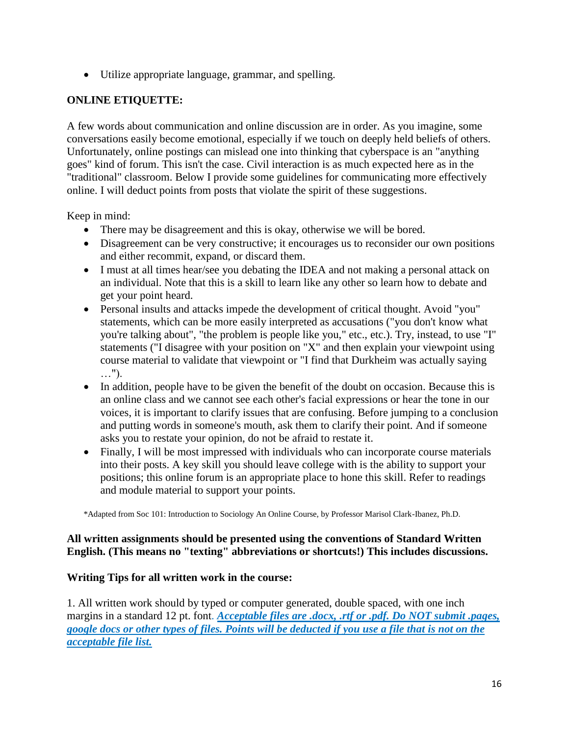• Utilize appropriate language, grammar, and spelling.

### **ONLINE ETIQUETTE:**

A few words about communication and online discussion are in order. As you imagine, some conversations easily become emotional, especially if we touch on deeply held beliefs of others. Unfortunately, online postings can mislead one into thinking that cyberspace is an "anything goes" kind of forum. This isn't the case. Civil interaction is as much expected here as in the "traditional" classroom. Below I provide some guidelines for communicating more effectively online. I will deduct points from posts that violate the spirit of these suggestions.

Keep in mind:

- There may be disagreement and this is okay, otherwise we will be bored.
- Disagreement can be very constructive; it encourages us to reconsider our own positions and either recommit, expand, or discard them.
- I must at all times hear/see you debating the IDEA and not making a personal attack on an individual. Note that this is a skill to learn like any other so learn how to debate and get your point heard.
- Personal insults and attacks impede the development of critical thought. Avoid "you" statements, which can be more easily interpreted as accusations ("you don't know what you're talking about", "the problem is people like you," etc., etc.). Try, instead, to use "I" statements ("I disagree with your position on "X" and then explain your viewpoint using course material to validate that viewpoint or "I find that Durkheim was actually saying …").
- In addition, people have to be given the benefit of the doubt on occasion. Because this is an online class and we cannot see each other's facial expressions or hear the tone in our voices, it is important to clarify issues that are confusing. Before jumping to a conclusion and putting words in someone's mouth, ask them to clarify their point. And if someone asks you to restate your opinion, do not be afraid to restate it.
- Finally, I will be most impressed with individuals who can incorporate course materials into their posts. A key skill you should leave college with is the ability to support your positions; this online forum is an appropriate place to hone this skill. Refer to readings and module material to support your points.

\*Adapted from Soc 101: Introduction to Sociology An Online Course, by Professor Marisol Clark-Ibanez, Ph.D.

#### **All written assignments should be presented using the conventions of Standard Written English. (This means no "texting" abbreviations or shortcuts!) This includes discussions.**

### **Writing Tips for all written work in the course:**

1. All written work should by typed or computer generated, double spaced, with one inch margins in a standard 12 pt. font. *Acceptable files are .docx, .rtf or .pdf. Do NOT submit .pages, google docs or other types of files. Points will be deducted if you use a file that is not on the acceptable file list.*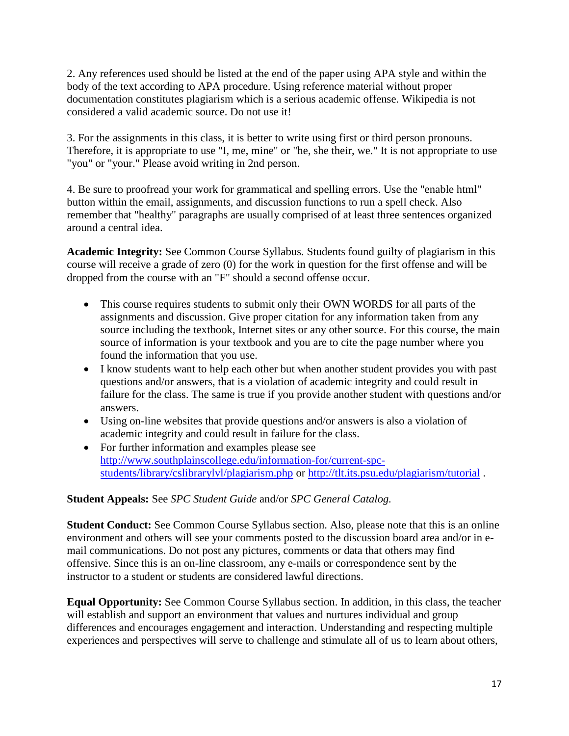2. Any references used should be listed at the end of the paper using APA style and within the body of the text according to APA procedure. Using reference material without proper documentation constitutes plagiarism which is a serious academic offense. Wikipedia is not considered a valid academic source. Do not use it!

3. For the assignments in this class, it is better to write using first or third person pronouns. Therefore, it is appropriate to use "I, me, mine" or "he, she their, we." It is not appropriate to use "you" or "your." Please avoid writing in 2nd person.

4. Be sure to proofread your work for grammatical and spelling errors. Use the "enable html" button within the email, assignments, and discussion functions to run a spell check. Also remember that "healthy" paragraphs are usually comprised of at least three sentences organized around a central idea.

**Academic Integrity:** See Common Course Syllabus. Students found guilty of plagiarism in this course will receive a grade of zero (0) for the work in question for the first offense and will be dropped from the course with an "F" should a second offense occur.

- This course requires students to submit only their OWN WORDS for all parts of the assignments and discussion. Give proper citation for any information taken from any source including the textbook, Internet sites or any other source. For this course, the main source of information is your textbook and you are to cite the page number where you found the information that you use.
- I know students want to help each other but when another student provides you with past questions and/or answers, that is a violation of academic integrity and could result in failure for the class. The same is true if you provide another student with questions and/or answers.
- Using on-line websites that provide questions and/or answers is also a violation of academic integrity and could result in failure for the class.
- For further information and examples please see [http://www.southplainscollege.edu/information-for/current-spc](http://www.southplainscollege.edu/information-for/current-spc-students/library/cslibrarylvl/plagiarism.php)[students/library/cslibrarylvl/plagiarism.php](http://www.southplainscollege.edu/information-for/current-spc-students/library/cslibrarylvl/plagiarism.php) or<http://tlt.its.psu.edu/plagiarism/tutorial> .

#### **Student Appeals:** See *SPC Student Guide* and/or *SPC General Catalog.*

**Student Conduct:** See Common Course Syllabus section. Also, please note that this is an online environment and others will see your comments posted to the discussion board area and/or in email communications. Do not post any pictures, comments or data that others may find offensive. Since this is an on-line classroom, any e-mails or correspondence sent by the instructor to a student or students are considered lawful directions.

**Equal Opportunity:** See Common Course Syllabus section. In addition, in this class, the teacher will establish and support an environment that values and nurtures individual and group differences and encourages engagement and interaction. Understanding and respecting multiple experiences and perspectives will serve to challenge and stimulate all of us to learn about others,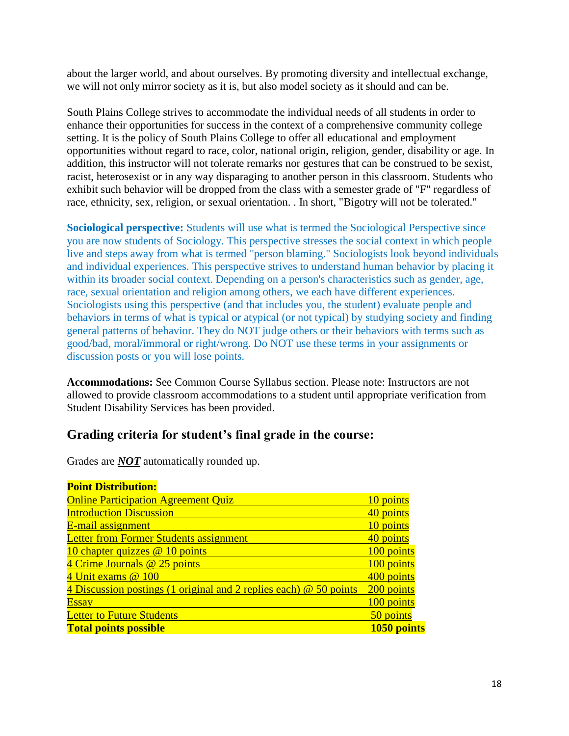about the larger world, and about ourselves. By promoting diversity and intellectual exchange, we will not only mirror society as it is, but also model society as it should and can be.

South Plains College strives to accommodate the individual needs of all students in order to enhance their opportunities for success in the context of a comprehensive community college setting. It is the policy of South Plains College to offer all educational and employment opportunities without regard to race, color, national origin, religion, gender, disability or age. In addition, this instructor will not tolerate remarks nor gestures that can be construed to be sexist, racist, heterosexist or in any way disparaging to another person in this classroom. Students who exhibit such behavior will be dropped from the class with a semester grade of "F" regardless of race, ethnicity, sex, religion, or sexual orientation. . In short, "Bigotry will not be tolerated."

**Sociological perspective:** Students will use what is termed the Sociological Perspective since you are now students of Sociology. This perspective stresses the social context in which people live and steps away from what is termed "person blaming." Sociologists look beyond individuals and individual experiences. This perspective strives to understand human behavior by placing it within its broader social context. Depending on a person's characteristics such as gender, age, race, sexual orientation and religion among others, we each have different experiences. Sociologists using this perspective (and that includes you, the student) evaluate people and behaviors in terms of what is typical or atypical (or not typical) by studying society and finding general patterns of behavior. They do NOT judge others or their behaviors with terms such as good/bad, moral/immoral or right/wrong. Do NOT use these terms in your assignments or discussion posts or you will lose points.

**Accommodations:** See Common Course Syllabus section. Please note: Instructors are not allowed to provide classroom accommodations to a student until appropriate verification from Student Disability Services has been provided.

### **Grading criteria for student's final grade in the course:**

Grades are *NOT* automatically rounded up.

| <b>Point Distribution:</b>                                        |             |
|-------------------------------------------------------------------|-------------|
| <b>Online Participation Agreement Quiz</b>                        | 10 points   |
| <b>Introduction Discussion</b>                                    | 40 points   |
| E-mail assignment                                                 | 10 points   |
| Letter from Former Students assignment                            | 40 points   |
| 10 chapter quizzes @ 10 points                                    | 100 points  |
| 4 Crime Journals @ 25 points                                      | 100 points  |
| 4 Unit exams @ 100                                                | 400 points  |
| 4 Discussion postings (1 original and 2 replies each) @ 50 points | 200 points  |
| <b>Essay</b>                                                      | 100 points  |
| <b>Letter to Future Students</b>                                  | 50 points   |
| <b>Total points possible</b>                                      | 1050 points |